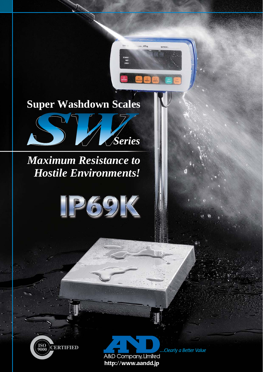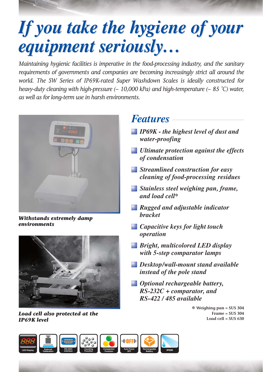# *If you take the hygiene of your If you take the hygiene of your equipment seriously… equipment seriously…*

*Maintaining hygienic facilities is imperative in the food-processing industry, and the sanitary requirements of governments and companies are becoming increasingly strict all around the world. The SW Series of IP69K-rated Super Washdown Scales is ideally constructed for heavy-duty cleaning with high-pressure (~ 10,000 kPa) and high-temperature (~ 85 ˚C) water, as well as for long-term use in harsh environments.*



*Withstands extremely damp environments*



*Load cell also protected at the IP69K level*

## *Features*

- *IP69K the highest level of dust and water-proofing*
- *Ultimate protection against the effects of condensation*
- *Streamlined construction for easy cleaning of food-processing residues*
- *Stainless steel weighing pan, frame, and load cell\**
- *Rugged and adjustable indicator bracket*
- *Capacitive keys for light touch operation*
- *Bright, multicolored LED display with 5-step comparator lamps*
- *Desktop/wall-mount stand available instead of the pole stand*
- *Optional rechargeable battery, RS-232C + comparator, and RS-422 / 485 available*

*\** **Weighing pan = SUS 304 Frame = SUS 304 Load cell = SUS 630**

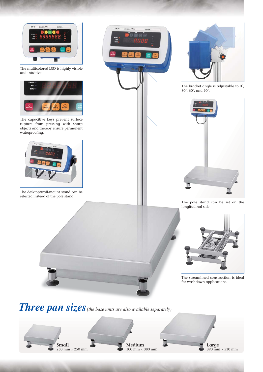

sw.p

The multicolored LED is highly visible and intuitive.



The capacitive keys prevent surface rupture from pressing with sharp objects and thereby ensure permanent waterproofing.



The desktop/wall-mount stand can be selected instead of the pole stand.



The bracket angle is adjustable to 0˚, 30˚, 60˚, and 90˚.



The pole stand can be set on the longitudinal side.



The streamlined construction is ideal for washdown applications.

*Three pan sizes* (the base units are also available separately) -